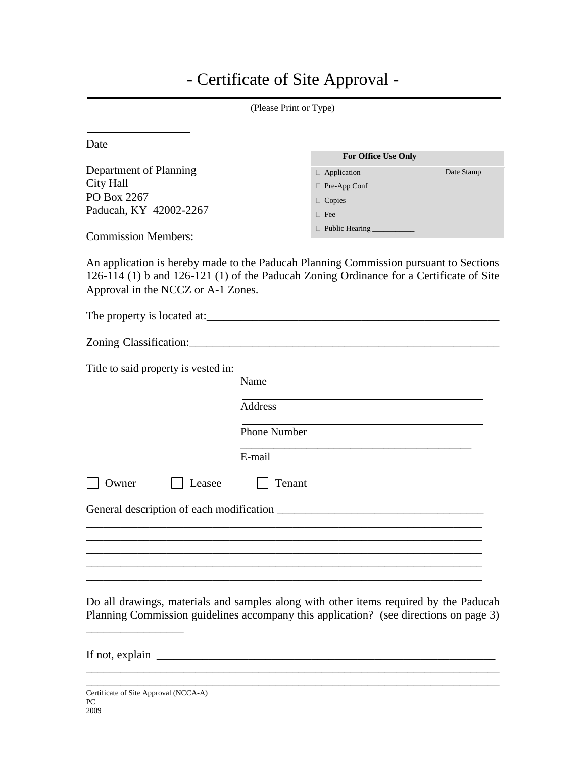## - Certificate of Site Approval -

|                                      | (Please Print or Type)                                                                  |            |
|--------------------------------------|-----------------------------------------------------------------------------------------|------------|
| Date                                 |                                                                                         |            |
|                                      | For Office Use Only                                                                     |            |
| Department of Planning               | $\Box$ Application                                                                      | Date Stamp |
| <b>City Hall</b>                     | Pre-App Conf                                                                            |            |
| PO Box 2267                          | □ Copies                                                                                |            |
| Paducah, KY 42002-2267               | $\Box$ Fee                                                                              |            |
| <b>Commission Members:</b>           | $\Box$ Public Hearing $\Box$                                                            |            |
|                                      |                                                                                         |            |
|                                      | An application is hereby made to the Paducah Planning Commission pursuant to Sections   |            |
|                                      | 126-114 (1) b and 126-121 (1) of the Paducah Zoning Ordinance for a Certificate of Site |            |
| Approval in the NCCZ or A-1 Zones.   |                                                                                         |            |
|                                      |                                                                                         |            |
|                                      |                                                                                         |            |
|                                      |                                                                                         |            |
|                                      |                                                                                         |            |
| Title to said property is vested in: |                                                                                         |            |
|                                      | Name                                                                                    |            |
|                                      |                                                                                         |            |
|                                      | <b>Address</b>                                                                          |            |
|                                      | <b>Phone Number</b>                                                                     |            |
|                                      |                                                                                         |            |
|                                      | E-mail                                                                                  |            |

Do all drawings, materials and samples along with other items required by the Paducah Planning Commission guidelines accompany this application? (see directions on page 3)

\_\_\_\_\_\_\_\_\_\_\_\_\_\_\_\_\_\_\_\_\_\_\_\_\_\_\_\_\_\_\_\_\_\_\_\_\_\_\_\_\_\_\_\_\_\_\_\_\_\_\_\_\_\_\_\_\_\_\_\_\_\_\_\_\_\_\_\_\_\_\_\_

\_\_\_\_\_\_\_\_\_\_\_\_\_\_\_\_\_\_\_\_\_\_\_\_\_\_\_\_\_\_\_\_\_\_\_\_\_\_\_\_\_\_\_\_\_\_\_\_\_\_\_\_\_\_\_\_\_\_\_\_\_\_\_\_\_\_\_\_\_

General description of each modification \_\_\_\_\_\_\_\_\_\_\_\_\_\_\_\_\_\_\_\_\_\_\_\_\_\_\_\_\_\_\_\_\_\_\_\_

 $\mathcal{L}_\text{max} = \mathcal{L}_\text{max} = \mathcal{L}_\text{max} = \mathcal{L}_\text{max} = \mathcal{L}_\text{max} = \mathcal{L}_\text{max} = \mathcal{L}_\text{max} = \mathcal{L}_\text{max} = \mathcal{L}_\text{max} = \mathcal{L}_\text{max} = \mathcal{L}_\text{max} = \mathcal{L}_\text{max} = \mathcal{L}_\text{max} = \mathcal{L}_\text{max} = \mathcal{L}_\text{max} = \mathcal{L}_\text{max} = \mathcal{L}_\text{max} = \mathcal{L}_\text{max} = \mathcal{$ 

If not, explain

\_\_\_\_\_\_\_\_\_\_\_\_\_\_\_\_\_

Owner **Leasee** Tenant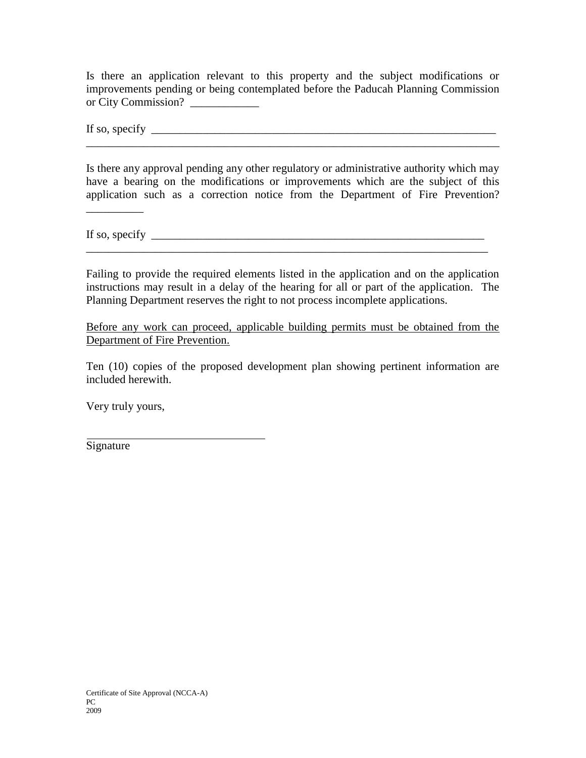Is there an application relevant to this property and the subject modifications or improvements pending or being contemplated before the Paducah Planning Commission or City Commission?

If so, specify  $\frac{1}{\sqrt{2}}$  specify  $\frac{1}{\sqrt{2}}$ 

Is there any approval pending any other regulatory or administrative authority which may have a bearing on the modifications or improvements which are the subject of this application such as a correction notice from the Department of Fire Prevention?

\_\_\_\_\_\_\_\_\_\_\_\_\_\_\_\_\_\_\_\_\_\_\_\_\_\_\_\_\_\_\_\_\_\_\_\_\_\_\_\_\_\_\_\_\_\_\_\_\_\_\_\_\_\_\_\_\_\_\_\_\_\_\_\_\_\_\_\_\_\_\_\_

If so, specify  $\frac{1}{\sqrt{2}}$  specify  $\frac{1}{\sqrt{2}}$ 

\_\_\_\_\_\_\_\_\_\_

Failing to provide the required elements listed in the application and on the application instructions may result in a delay of the hearing for all or part of the application. The Planning Department reserves the right to not process incomplete applications.

\_\_\_\_\_\_\_\_\_\_\_\_\_\_\_\_\_\_\_\_\_\_\_\_\_\_\_\_\_\_\_\_\_\_\_\_\_\_\_\_\_\_\_\_\_\_\_\_\_\_\_\_\_\_\_\_\_\_\_\_\_\_\_\_\_\_\_\_\_\_

Before any work can proceed, applicable building permits must be obtained from the Department of Fire Prevention.

Ten (10) copies of the proposed development plan showing pertinent information are included herewith.

Very truly yours,

Signature